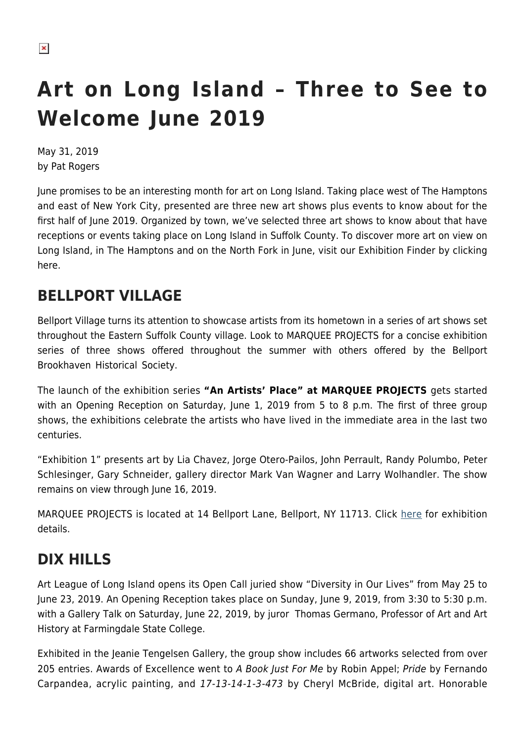## **Art on Long Island – Three to See to Welcome June 2019**

May 31, 2019 by Pat Rogers

June promises to be an interesting month for art on Long Island. Taking place west of The Hamptons and east of New York City, presented are three new art shows plus events to know about for the first half of June 2019. Organized by town, we've selected three art shows to know about that have receptions or events taking place on Long Island in Suffolk County. To discover more art on view on Long Island, in The Hamptons and on the North Fork in June, visit our Exhibition Finder by clicking here.

## **BELLPORT VILLAGE**

Bellport Village turns its attention to showcase artists from its hometown in a series of art shows set throughout the Eastern Suffolk County village. Look to MARQUEE PROJECTS for a concise exhibition series of three shows offered throughout the summer with others offered by the Bellport Brookhaven Historical Society.

The launch of the exhibition series **"An Artists' Place" at MARQUEE PROJECTS** gets started with an Opening Reception on Saturday, June 1, 2019 from 5 to 8 p.m. The first of three group shows, the exhibitions celebrate the artists who have lived in the immediate area in the last two centuries.

"Exhibition 1" presents art by Lia Chavez, Jorge Otero-Pailos, John Perrault, Randy Polumbo, Peter Schlesinger, Gary Schneider, gallery director Mark Van Wagner and Larry Wolhandler. The show remains on view through June 16, 2019.

MARQUEE PROJECTS is located at 14 Bellport Lane, Bellport, NY 11713. Click [here](https://hamptonsarthub.com/exhibition/an-artists-place-series-one-of-three-exhibitions/) for exhibition details.

## **DIX HILLS**

Art League of Long Island opens its Open Call juried show "Diversity in Our Lives" from May 25 to June 23, 2019. An Opening Reception takes place on Sunday, June 9, 2019, from 3:30 to 5:30 p.m. with a Gallery Talk on Saturday, June 22, 2019, by juror Thomas Germano, Professor of Art and Art History at Farmingdale State College.

Exhibited in the Jeanie Tengelsen Gallery, the group show includes 66 artworks selected from over 205 entries. Awards of Excellence went to A Book Just For Me by Robin Appel; Pride by Fernando Carpandea, acrylic painting, and 17-13-14-1-3-473 by Cheryl McBride, digital art. Honorable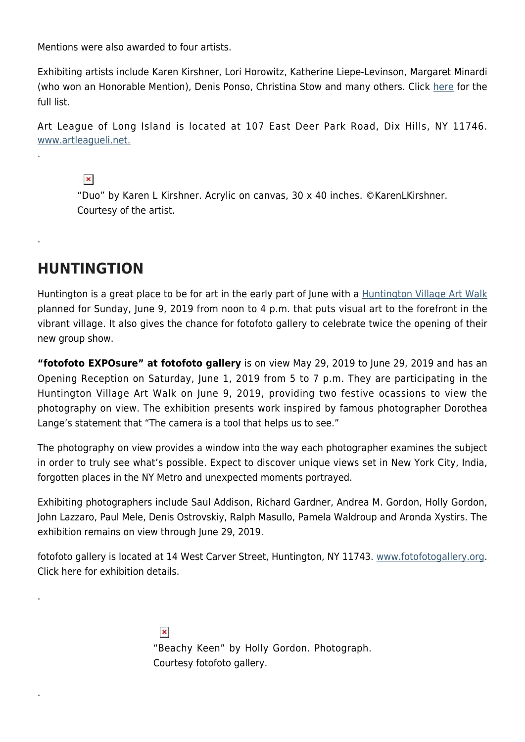Mentions were also awarded to four artists.

Exhibiting artists include Karen Kirshner, Lori Horowitz, Katherine Liepe-Levinson, Margaret Minardi (who won an Honorable Mention), Denis Ponso, Christina Stow and many others. Click [here](http://artleagueli.net/files/Diversity%20accepted%20submissions_0.pdf) for the full list.

Art League of Long Island is located at 107 East Deer Park Road, Dix Hills, NY 11746. [www.artleagueli.net.](http://artleagueli.net/)

 $\pmb{\times}$ "Duo" by Karen L Kirshner. Acrylic on canvas, 30 x 40 inches. ©KarenLKirshner. Courtesy of the artist.

## **HUNTINGTION**

.

.

.

.

Huntington is a great place to be for art in the early part of June with a [Huntington Village Art Walk](https://www.huntingtonartcenter.com/artwalk.html) planned for Sunday, June 9, 2019 from noon to 4 p.m. that puts visual art to the forefront in the vibrant village. It also gives the chance for fotofoto gallery to celebrate twice the opening of their new group show.

**"fotofoto EXPOsure" at fotofoto gallery** is on view May 29, 2019 to June 29, 2019 and has an Opening Reception on Saturday, June 1, 2019 from 5 to 7 p.m. They are participating in the Huntington Village Art Walk on June 9, 2019, providing two festive ocassions to view the photography on view. The exhibition presents work inspired by famous photographer Dorothea Lange's statement that "The camera is a tool that helps us to see."

The photography on view provides a window into the way each photographer examines the subject in order to truly see what's possible. Expect to discover unique views set in New York City, India, forgotten places in the NY Metro and unexpected moments portrayed.

Exhibiting photographers include Saul Addison, Richard Gardner, Andrea M. Gordon, Holly Gordon, John Lazzaro, Paul Mele, Denis Ostrovskiy, Ralph Masullo, Pamela Waldroup and Aronda Xystirs. The exhibition remains on view through June 29, 2019.

fotofoto gallery is located at 14 West Carver Street, Huntington, NY 11743. [www.fotofotogallery.org.](http://fotofotogallery.org/) Click here for exhibition details.

> $\pmb{\times}$ "Beachy Keen" by Holly Gordon. Photograph. Courtesy fotofoto gallery.